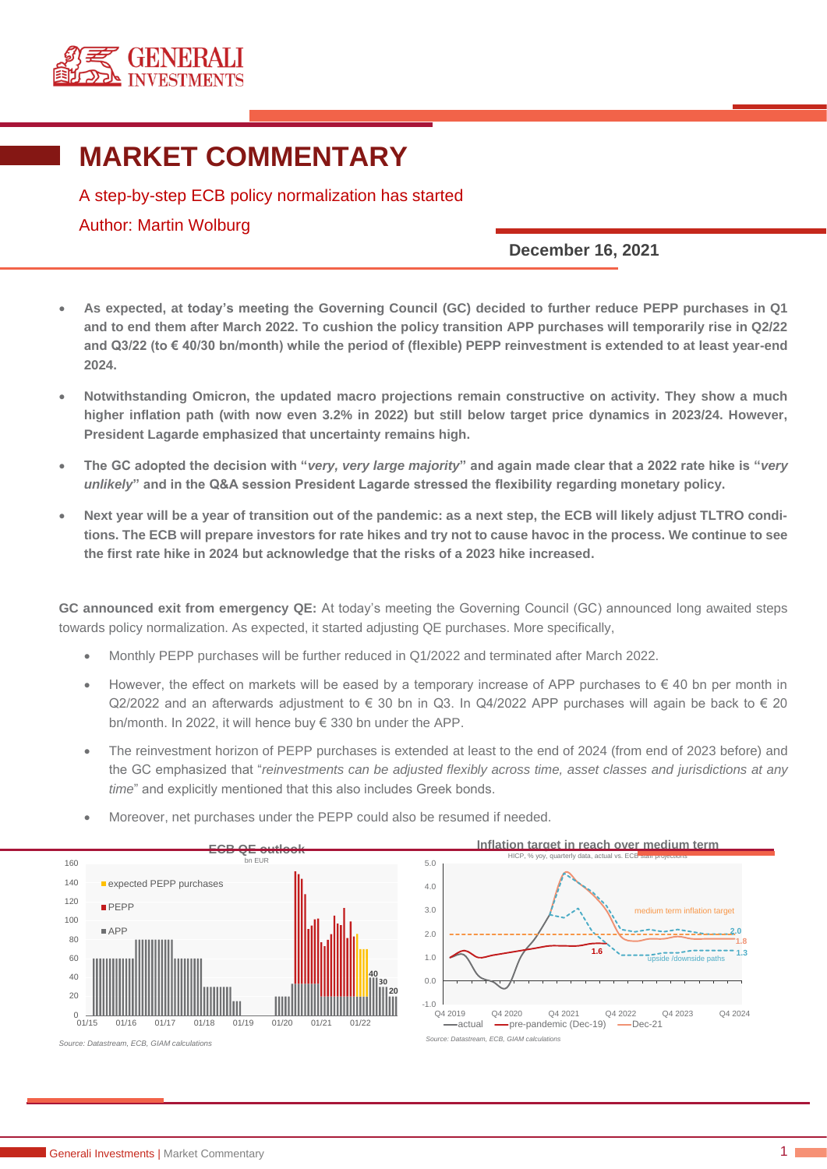

## **MARKET COMMENTARY**

A step-by-step ECB policy normalization has started Author: Martin Wolburg

## **December 16, 2021**

- **As expected, at today's meeting the Governing Council (GC) decided to further reduce PEPP purchases in Q1 and to end them after March 2022. To cushion the policy transition APP purchases will temporarily rise in Q2/22 and Q3/22 (to € 40/30 bn/month) while the period of (flexible) PEPP reinvestment is extended to at least year-end 2024.**
- **Notwithstanding Omicron, the updated macro projections remain constructive on activity. They show a much higher inflation path (with now even 3.2% in 2022) but still below target price dynamics in 2023/24. However, President Lagarde emphasized that uncertainty remains high.**
- **The GC adopted the decision with "***very, very large majority***" and again made clear that a 2022 rate hike is "***very unlikely***" and in the Q&A session President Lagarde stressed the flexibility regarding monetary policy.**
- **Next year will be a year of transition out of the pandemic: as a next step, the ECB will likely adjust TLTRO conditions. The ECB will prepare investors for rate hikes and try not to cause havoc in the process. We continue to see the first rate hike in 2024 but acknowledge that the risks of a 2023 hike increased.**

**GC announced exit from emergency QE:** At today's meeting the Governing Council (GC) announced long awaited steps towards policy normalization. As expected, it started adjusting QE purchases. More specifically,

- Monthly PEPP purchases will be further reduced in Q1/2022 and terminated after March 2022.
- However, the effect on markets will be eased by a temporary increase of APP purchases to  $\in$  40 bn per month in Q2/2022 and an afterwards adjustment to  $\epsilon$  30 bn in Q3. In Q4/2022 APP purchases will again be back to  $\epsilon$  20 bn/month. In 2022, it will hence buy € 330 bn under the APP.
- The reinvestment horizon of PEPP purchases is extended at least to the end of 2024 (from end of 2023 before) and the GC emphasized that "*reinvestments can be adjusted flexibly across time, asset classes and jurisdictions at any time*" and explicitly mentioned that this also includes Greek bonds.



• Moreover, net purchases under the PEPP could also be resumed if needed.



*Source: Datastream, ECB, GIAM calculations*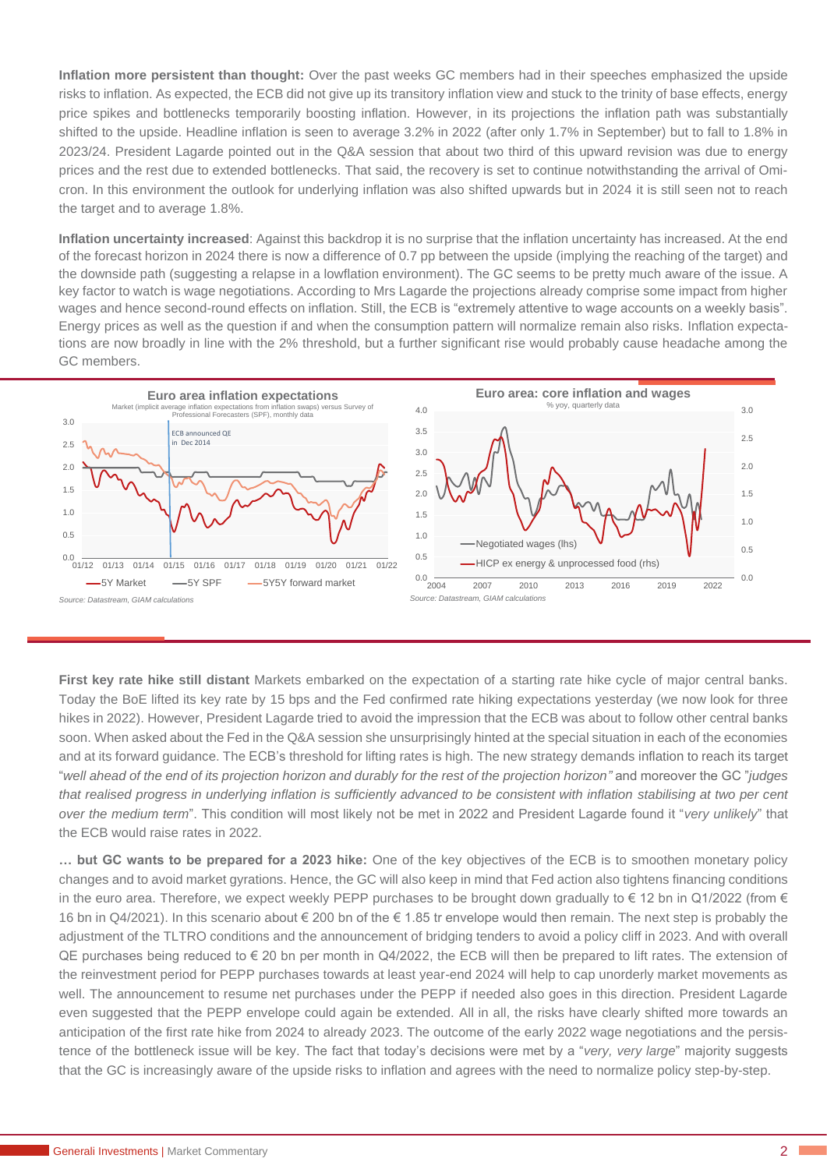**Inflation more persistent than thought:** Over the past weeks GC members had in their speeches emphasized the upside risks to inflation. As expected, the ECB did not give up its transitory inflation view and stuck to the trinity of base effects, energy price spikes and bottlenecks temporarily boosting inflation. However, in its projections the inflation path was substantially shifted to the upside. Headline inflation is seen to average 3.2% in 2022 (after only 1.7% in September) but to fall to 1.8% in 2023/24. President Lagarde pointed out in the Q&A session that about two third of this upward revision was due to energy prices and the rest due to extended bottlenecks. That said, the recovery is set to continue notwithstanding the arrival of Omicron. In this environment the outlook for underlying inflation was also shifted upwards but in 2024 it is still seen not to reach the target and to average 1.8%.

**Inflation uncertainty increased**: Against this backdrop it is no surprise that the inflation uncertainty has increased. At the end of the forecast horizon in 2024 there is now a difference of 0.7 pp between the upside (implying the reaching of the target) and the downside path (suggesting a relapse in a lowflation environment). The GC seems to be pretty much aware of the issue. A key factor to watch is wage negotiations. According to Mrs Lagarde the projections already comprise some impact from higher wages and hence second-round effects on inflation. Still, the ECB is "extremely attentive to wage accounts on a weekly basis". Energy prices as well as the question if and when the consumption pattern will normalize remain also risks. Inflation expectations are now broadly in line with the 2% threshold, but a further significant rise would probably cause headache among the GC members.



**First key rate hike still distant** Markets embarked on the expectation of a starting rate hike cycle of major central banks. Today the BoE lifted its key rate by 15 bps and the Fed confirmed rate hiking expectations yesterday (we now look for three hikes in 2022). However, President Lagarde tried to avoid the impression that the ECB was about to follow other central banks soon. When asked about the Fed in the Q&A session she unsurprisingly hinted at the special situation in each of the economies and at its forward guidance. The ECB's threshold for lifting rates is high. The new strategy demands inflation to reach its target "*well ahead of the end of its projection horizon and durably for the rest of the projection horizon"* and moreover the GC "*judges that realised progress in underlying inflation is sufficiently advanced to be consistent with inflation stabilising at two per cent over the medium term*". This condition will most likely not be met in 2022 and President Lagarde found it "*very unlikely*" that the ECB would raise rates in 2022.

**… but GC wants to be prepared for a 2023 hike:** One of the key objectives of the ECB is to smoothen monetary policy changes and to avoid market gyrations. Hence, the GC will also keep in mind that Fed action also tightens financing conditions in the euro area. Therefore, we expect weekly PEPP purchases to be brought down gradually to  $\epsilon$  12 bn in Q1/2022 (from  $\epsilon$ 16 bn in Q4/2021). In this scenario about € 200 bn of the € 1.85 tr envelope would then remain. The next step is probably the adjustment of the TLTRO conditions and the announcement of bridging tenders to avoid a policy cliff in 2023. And with overall QE purchases being reduced to € 20 bn per month in  $Q4/2022$ , the ECB will then be prepared to lift rates. The extension of the reinvestment period for PEPP purchases towards at least year-end 2024 will help to cap unorderly market movements as well. The announcement to resume net purchases under the PEPP if needed also goes in this direction. President Lagarde even suggested that the PEPP envelope could again be extended. All in all, the risks have clearly shifted more towards an anticipation of the first rate hike from 2024 to already 2023. The outcome of the early 2022 wage negotiations and the persistence of the bottleneck issue will be key. The fact that today's decisions were met by a "*very, very large*" majority suggests that the GC is increasingly aware of the upside risks to inflation and agrees with the need to normalize policy step-by-step.